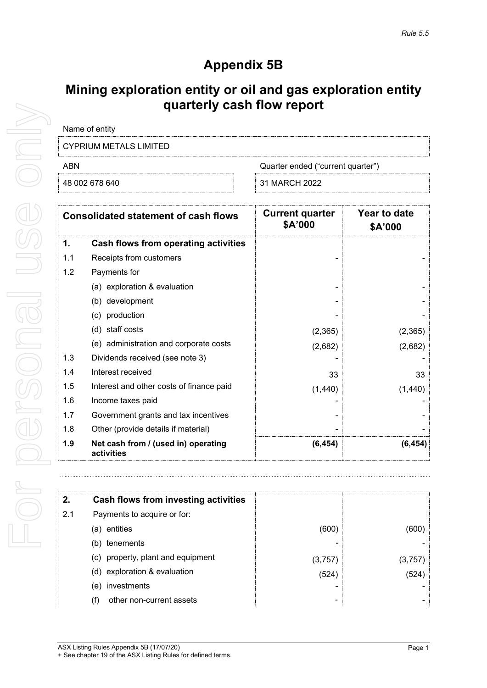# **Appendix 5B**

## **Mining exploration entity or oil and gas exploration entity quarterly cash flow report**

| Name of entity         |  |  |
|------------------------|--|--|
| CYPRIUM METALS LIMITED |  |  |

ABN Cuarter ended ("current quarter")

48 002 678 640 31 MARCH 2022

| <b>Consolidated statement of cash flows</b> |                                                   | <b>Current quarter</b><br>\$A'000 | Year to date<br>\$A'000 |
|---------------------------------------------|---------------------------------------------------|-----------------------------------|-------------------------|
| 1.                                          | <b>Cash flows from operating activities</b>       |                                   |                         |
| 1.1                                         | Receipts from customers                           |                                   |                         |
| 1.2                                         | Payments for                                      |                                   |                         |
|                                             | (a) exploration & evaluation                      |                                   |                         |
|                                             | (b) development                                   |                                   |                         |
|                                             | (c) production                                    |                                   |                         |
|                                             | (d) staff costs                                   | (2,365)                           | (2,365)                 |
|                                             | (e) administration and corporate costs            | (2,682)                           | (2,682)                 |
| 1.3                                         | Dividends received (see note 3)                   |                                   |                         |
| 1.4                                         | Interest received                                 | 33                                | 33                      |
| 1.5                                         | Interest and other costs of finance paid          | (1, 440)                          | (1,440)                 |
| 1.6                                         | Income taxes paid                                 |                                   |                         |
| 1.7                                         | Government grants and tax incentives              |                                   |                         |
| 1.8                                         | Other (provide details if material)               |                                   |                         |
| 1.9                                         | Net cash from / (used in) operating<br>activities | (6, 454)                          | (6, 454)                |

| 2.  | Cash flows from investing activities |        |         |
|-----|--------------------------------------|--------|---------|
| 2.1 | Payments to acquire or for:          |        |         |
|     | entities<br>(a)                      | (600   | (600    |
|     | tenements<br>(b)                     |        |         |
|     | (c) property, plant and equipment    | (3,757 | (3,757) |
|     | (d) exploration & evaluation         | (524)  | (524)   |
|     | investments<br>(e)                   |        |         |
|     | other non-current assets<br>(f)      |        |         |
|     |                                      |        |         |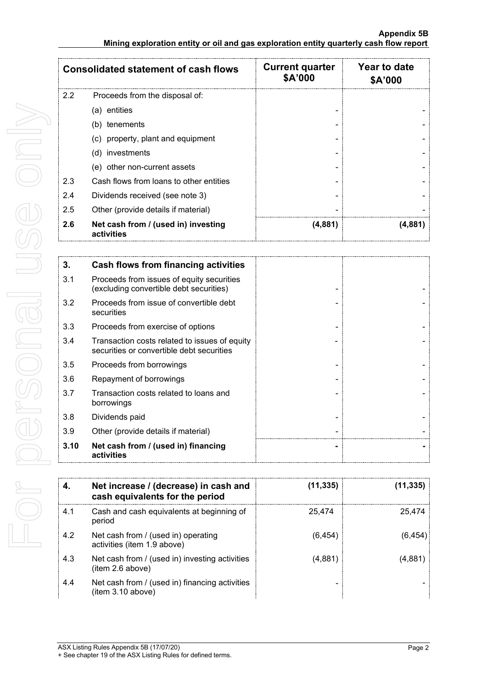|     | <b>Consolidated statement of cash flows</b>       | <b>Current quarter</b><br>\$A'000 | Year to date<br>\$A'000 |
|-----|---------------------------------------------------|-----------------------------------|-------------------------|
| 2.2 | Proceeds from the disposal of:                    |                                   |                         |
|     | (a) entities                                      |                                   |                         |
|     | (b) tenements                                     |                                   |                         |
|     | (c) property, plant and equipment                 |                                   |                         |
|     | (d) investments                                   |                                   |                         |
|     | (e) other non-current assets                      |                                   |                         |
| 2.3 | Cash flows from loans to other entities           |                                   |                         |
| 2.4 | Dividends received (see note 3)                   |                                   |                         |
| 2.5 | Other (provide details if material)               |                                   |                         |
| 2.6 | Net cash from / (used in) investing<br>activities | (4,881)                           | (4,881)                 |

| 3.   | Cash flows from financing activities                                                       |  |
|------|--------------------------------------------------------------------------------------------|--|
| 3.1  | Proceeds from issues of equity securities<br>(excluding convertible debt securities)       |  |
| 3.2  | Proceeds from issue of convertible debt<br>securities                                      |  |
| 3.3  | Proceeds from exercise of options                                                          |  |
| 3.4  | Transaction costs related to issues of equity<br>securities or convertible debt securities |  |
| 3.5  | Proceeds from borrowings                                                                   |  |
| 3.6  | Repayment of borrowings                                                                    |  |
| 3.7  | Transaction costs related to loans and<br>borrowings                                       |  |
| 3.8  | Dividends paid                                                                             |  |
| 3.9  | Other (provide details if material)                                                        |  |
| 3.10 | Net cash from / (used in) financing<br>activities                                          |  |

|     | Net increase / (decrease) in cash and<br>cash equivalents for the period | (11, 335) | (11,335) |
|-----|--------------------------------------------------------------------------|-----------|----------|
| 4.1 | Cash and cash equivalents at beginning of<br>period                      | 25.474    | 25.474   |
| 4.2 | Net cash from / (used in) operating<br>activities (item 1.9 above)       | (6, 454)  | (6, 454) |
| 4.3 | Net cash from / (used in) investing activities<br>(item 2.6 above)       | (4,881)   | (4,881   |
| 4.4 | Net cash from / (used in) financing activities<br>(item 3.10 above)      |           |          |

For personal use only For personal use onny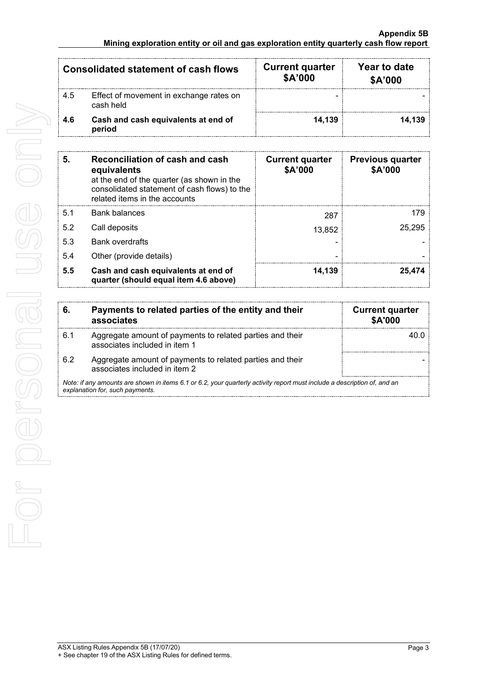### **Appendix 5B Mining exploration entity or oil and gas exploration entity quarterly cash flow report**

| <b>Consolidated statement of cash flows</b> |                                                      | <b>Current quarter</b><br>\$A'000 | Year to date<br>\$A'000 |
|---------------------------------------------|------------------------------------------------------|-----------------------------------|-------------------------|
| 4.5                                         | Effect of movement in exchange rates on<br>cash held |                                   |                         |
| 4.6                                         | Cash and cash equivalents at end of<br>period        | 14.139                            | 14.139                  |

| 5.  | Reconciliation of cash and cash<br>equivalents<br>at the end of the quarter (as shown in the<br>consolidated statement of cash flows) to the<br>related items in the accounts | <b>Current quarter</b><br>\$A'000 | <b>Previous quarter</b><br>\$A'000 |
|-----|-------------------------------------------------------------------------------------------------------------------------------------------------------------------------------|-----------------------------------|------------------------------------|
| 5.1 | <b>Bank balances</b>                                                                                                                                                          | 287                               | 179                                |
| 5.2 | Call deposits                                                                                                                                                                 | 13,852                            | 25.295                             |
| 5.3 | <b>Bank overdrafts</b>                                                                                                                                                        |                                   |                                    |
| 5.4 | Other (provide details)                                                                                                                                                       |                                   |                                    |
| 5.5 | Cash and cash equivalents at end of<br>quarter (should equal item 4.6 above)                                                                                                  | 14.139                            | 25.474                             |

| 6. | Payments to related parties of the entity and their<br>associates                                                                                           | <b>Current quarter</b><br>\$A'000 |
|----|-------------------------------------------------------------------------------------------------------------------------------------------------------------|-----------------------------------|
| 61 | Aggregate amount of payments to related parties and their<br>associates included in item 1                                                                  |                                   |
| 62 | Aggregate amount of payments to related parties and their<br>associates included in item 2                                                                  |                                   |
|    | Note: if any amounts are shown in items 6.1 or 6.2, your quarterly activity report must include a description of, and an<br>explanation for, such payments. |                                   |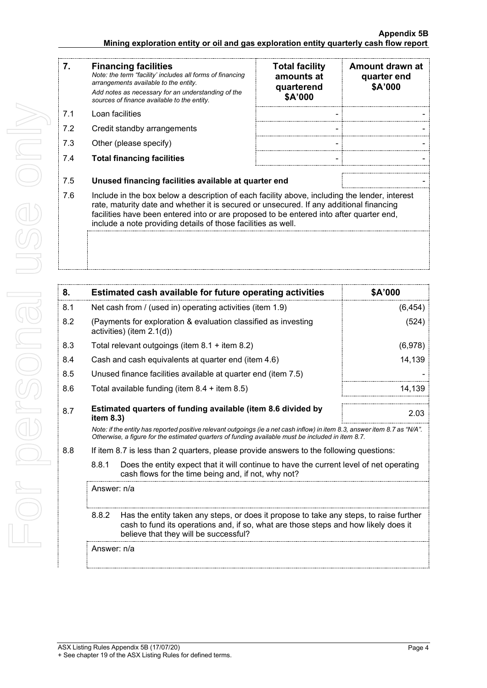#### **Appendix 5B Mining exploration entity or oil and gas exploration entity quarterly cash flow report**

| 7.  | <b>Financing facilities</b><br>Note: the term "facility' includes all forms of financing<br>arrangements available to the entity.<br>Add notes as necessary for an understanding of the                                                                                                                                                              | <b>Total facility</b><br>amounts at<br>quarterend | Amount drawn at<br>quarter end<br>\$A'000 |  |
|-----|------------------------------------------------------------------------------------------------------------------------------------------------------------------------------------------------------------------------------------------------------------------------------------------------------------------------------------------------------|---------------------------------------------------|-------------------------------------------|--|
|     | sources of finance available to the entity.                                                                                                                                                                                                                                                                                                          | \$A'000                                           |                                           |  |
| 7.1 | Loan facilities                                                                                                                                                                                                                                                                                                                                      |                                                   |                                           |  |
| 7.2 | Credit standby arrangements                                                                                                                                                                                                                                                                                                                          |                                                   |                                           |  |
| 7.3 | Other (please specify)                                                                                                                                                                                                                                                                                                                               |                                                   |                                           |  |
| 7.4 | <b>Total financing facilities</b>                                                                                                                                                                                                                                                                                                                    |                                                   |                                           |  |
| 7.5 | Unused financing facilities available at quarter end                                                                                                                                                                                                                                                                                                 |                                                   |                                           |  |
| 7.6 | Include in the box below a description of each facility above, including the lender, interest<br>rate, maturity date and whether it is secured or unsecured. If any additional financing<br>facilities have been entered into or are proposed to be entered into after quarter end,<br>include a note providing details of those facilities as well. |                                                   |                                           |  |
|     |                                                                                                                                                                                                                                                                                                                                                      |                                                   |                                           |  |

| 8.          |                                                                                                                                                                                                                                 | Estimated cash available for future operating activities                                                                                                                                                                        | \$A'000  |
|-------------|---------------------------------------------------------------------------------------------------------------------------------------------------------------------------------------------------------------------------------|---------------------------------------------------------------------------------------------------------------------------------------------------------------------------------------------------------------------------------|----------|
| 8.1         |                                                                                                                                                                                                                                 | Net cash from / (used in) operating activities (item 1.9)                                                                                                                                                                       | (6, 454) |
| 8.2         |                                                                                                                                                                                                                                 | (Payments for exploration & evaluation classified as investing<br>activities) (item $2.1(d)$ )                                                                                                                                  | (524)    |
| 8.3         |                                                                                                                                                                                                                                 | Total relevant outgoings (item 8.1 + item 8.2)                                                                                                                                                                                  | (6,978)  |
| 8.4         |                                                                                                                                                                                                                                 | Cash and cash equivalents at quarter end (item 4.6)                                                                                                                                                                             | 14,139   |
| 8.5         |                                                                                                                                                                                                                                 | Unused finance facilities available at quarter end (item 7.5)                                                                                                                                                                   |          |
| 8.6         |                                                                                                                                                                                                                                 | Total available funding (item $8.4 +$ item $8.5$ )                                                                                                                                                                              | 14,139   |
| 8.7         | Estimated quarters of funding available (item 8.6 divided by<br>item 8.3)                                                                                                                                                       |                                                                                                                                                                                                                                 | 2.03     |
|             |                                                                                                                                                                                                                                 | Note: if the entity has reported positive relevant outgoings (ie a net cash inflow) in item 8.3, answer item 8.7 as "N/A".<br>Otherwise, a figure for the estimated quarters of funding available must be included in item 8.7. |          |
| 8.8         |                                                                                                                                                                                                                                 | If item 8.7 is less than 2 quarters, please provide answers to the following questions:                                                                                                                                         |          |
|             | 8.8.1                                                                                                                                                                                                                           | Does the entity expect that it will continue to have the current level of net operating<br>cash flows for the time being and, if not, why not?                                                                                  |          |
|             | Answer: n/a                                                                                                                                                                                                                     |                                                                                                                                                                                                                                 |          |
|             | 8.8.2<br>Has the entity taken any steps, or does it propose to take any steps, to raise further<br>cash to fund its operations and, if so, what are those steps and how likely does it<br>believe that they will be successful? |                                                                                                                                                                                                                                 |          |
| Answer: n/a |                                                                                                                                                                                                                                 |                                                                                                                                                                                                                                 |          |